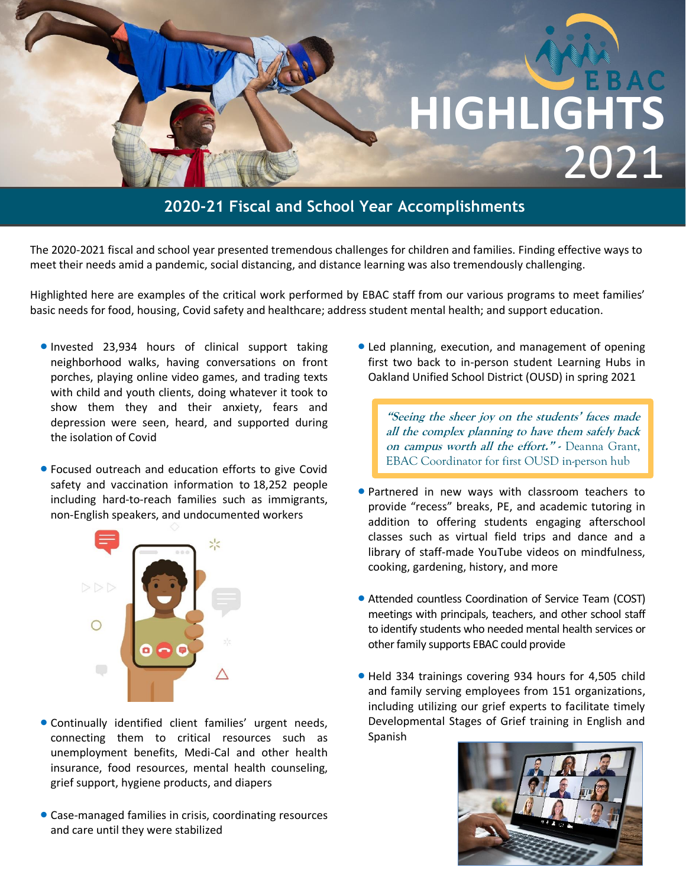# **HIGHLIGHT** 2021

### **2020-21 Fiscal and School Year Accomplishments**

The 2020-2021 fiscal and school year presented tremendous challenges for children and families. Finding effective ways to meet their needs amid a pandemic, social distancing, and distance learning was also tremendously challenging.

Highlighted here are examples of the critical work performed by EBAC staff from our various programs to meet families' basic needs for food, housing, Covid safety and healthcare; address student mental health; and support education.

- Invested 23,934 hours of clinical support taking neighborhood walks, having conversations on front porches, playing online video games, and trading texts with child and youth clients, doing whatever it took to show them they and their anxiety, fears and depression were seen, heard, and supported during the isolation of Covid
- Focused outreach and education efforts to give Covid safety and vaccination information to 18,252 people including hard-to-reach families such as immigrants, non-English speakers, and undocumented workers



- Continually identified client families' urgent needs, connecting them to critical resources such as unemployment benefits, Medi-Cal and other health insurance, food resources, mental health counseling, grief support, hygiene products, and diapers
- Case-managed families in crisis, coordinating resources and care until they were stabilized

• Led planning, execution, and management of opening first two back to in-person student Learning Hubs in Oakland Unified School District (OUSD) in spring 2021

**"Seeing the sheer joy on the students' faces made all the complex planning to have them safely back on campus worth all the effort." -** Deanna Grant, EBAC Coordinator for first OUSD in-person hub

- Partnered in new ways with classroom teachers to provide "recess" breaks, PE, and academic tutoring in addition to offering students engaging afterschool classes such as virtual field trips and dance and a library of staff-made YouTube videos on mindfulness, cooking, gardening, history, and more
- Attended countless Coordination of Service Team (COST) meetings with principals, teachers, and other school staff to identify students who needed mental health services or other family supports EBAC could provide
- Held 334 trainings covering 934 hours for 4,505 child and family serving employees from 151 organizations, including utilizing our grief experts to facilitate timely Developmental Stages of Grief training in English and Spanish

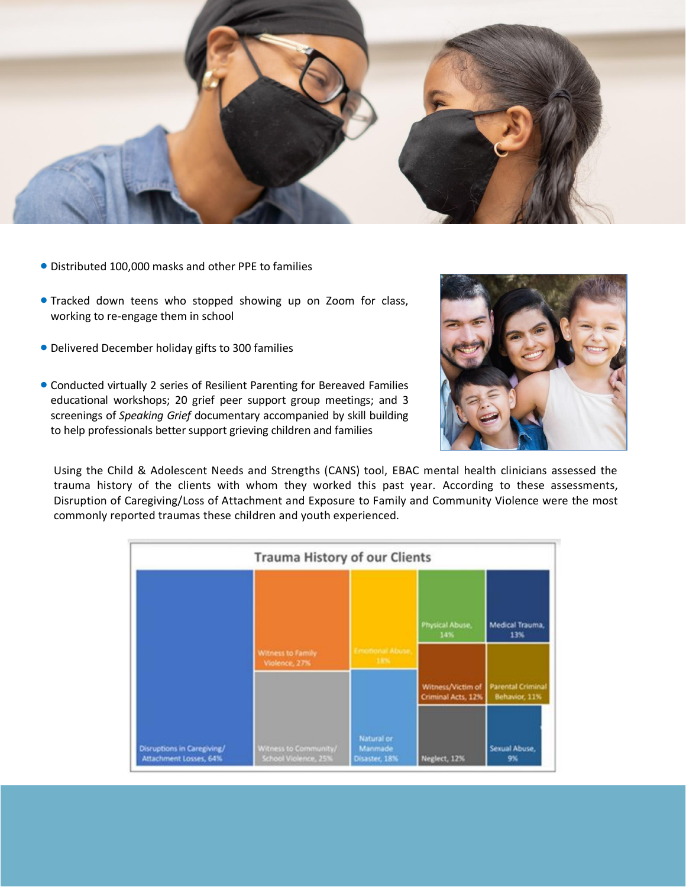

- Distributed 100,000 masks and other PPE to families
- Tracked down teens who stopped showing up on Zoom for class, working to re-engage them in school
- Delivered December holiday gifts to 300 families
- Conducted virtually 2 series of Resilient Parenting for Bereaved Families educational workshops; 20 grief peer support group meetings; and 3 screenings of *Speaking Grief* documentary accompanied by skill building to help professionals better support grieving children and families



Using the Child & Adolescent Needs and Strengths (CANS) tool, EBAC mental health clinicians assessed the trauma history of the clients with whom they worked this past year. According to these assessments, Disruption of Caregiving/Loss of Attachment and Exposure to Family and Community Violence were the most commonly reported traumas these children and youth experienced.

|                                                      | <b>Trauma History of our Clients</b>          |                                        |                                         |                                           |
|------------------------------------------------------|-----------------------------------------------|----------------------------------------|-----------------------------------------|-------------------------------------------|
|                                                      |                                               |                                        | Physical Abuse.<br>14%                  | <b>Medical Trauma</b><br>13%              |
|                                                      | Witness to Family<br>Violence, 27%            | <b>Emotional Abuse</b><br>19%          |                                         |                                           |
|                                                      |                                               |                                        | Witness/Victim of<br>Criminal Acts, 12% | <b>Parental Criminal</b><br>Behavior, 11% |
| Disruptions in Caregiving/<br>Attachment Losses, 64% | Witness to Community/<br>School Violence, 25% | Natural or<br>Manmade<br>Disaster, 18% | Neglect, 12%                            | Sexual Abuse.<br>9%                       |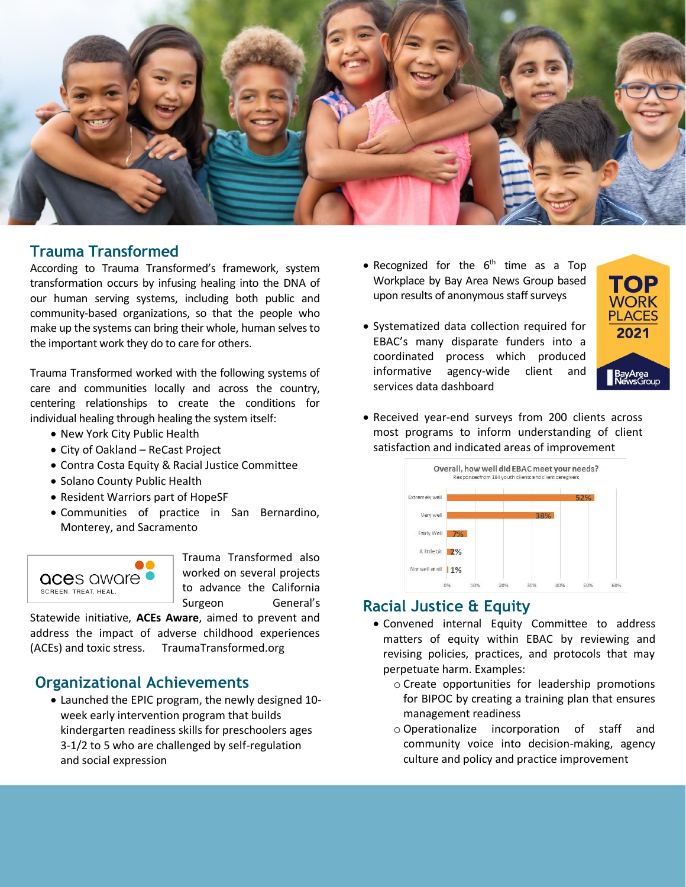

#### **Trauma Transformed**

According to Trauma Transformed's framework, system transformation occurs by infusing healing into the DNA of our human serving systems, including both public and community-based organizations, so that the people who make up the systems can bring their whole, human selves to the important work they do to care for others.

Trauma Transformed worked with the following systems of care and communities locally and across the country, centering relationships to create the conditions for individual healing through healing the system itself:

- New York City Public Health
- City of Oakland ReCast Project
- Contra Costa Equity & Racial Justice Committee
- Solano County Public Health
- Resident Warriors part of HopeSF
- Communities of practice in San Bernardino, Monterey, and Sacramento



Trauma Transformed also worked on several projects to advance the California Surgeon General's

Statewide initiative, **ACEs Aware**, aimed to prevent and address the impact of adverse childhood experiences (ACEs) and toxic stress. TraumaTransformed.org

#### **Organizational Achievements**

• Launched the EPIC program, the newly designed 10 week early intervention program that builds kindergarten readiness skills for preschoolers ages 3-1/2 to 5 who are challenged by self-regulation and social expression

- Recognized for the 6<sup>th</sup> time as a Top Workplace by Bay Area News Group based upon results of anonymous staff surveys
- Systematized data collection required for EBAC's many disparate funders into a coordinated process which produced informative agency-wide client and services data dashboard



• Received year-end surveys from 200 clients across most programs to inform understanding of client satisfaction and indicated areas of improvement



#### **Racial Justice & Equity**

- Convened internal Equity Committee to address matters of equity within EBAC by reviewing and revising policies, practices, and protocols that may perpetuate harm. Examples:
	- o Create opportunities for leadership promotions for BIPOC by creating a training plan that ensures management readiness
	- o Operationalize incorporation of staff and community voice into decision-making, agency culture and policy and practice improvement